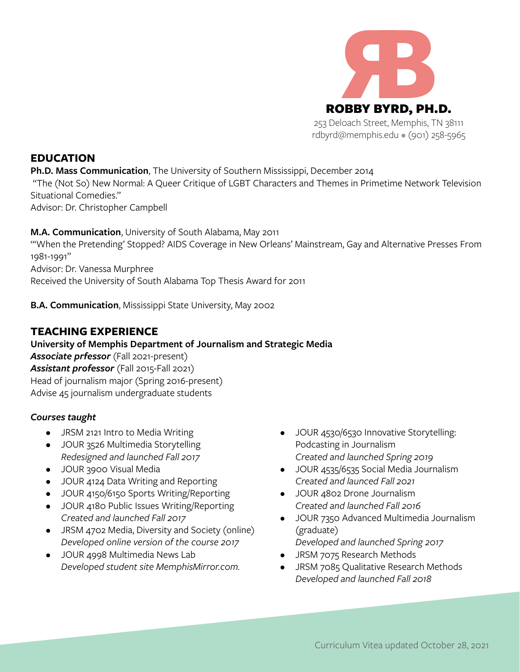

**EDUCATION**

**Ph.D. Mass Communication**, The University of Southern Mississippi, December 2014

 "The (Not So) New Normal: A Queer Critique of LGBT Characters and Themes in Primetime Network Television Situational Comedies."

Advisor: Dr. Christopher Campbell

**M.A. Communication**, University of South Alabama, May 2011 "'When the Pretending' Stopped? AIDS Coverage in New Orleans' Mainstream, Gay and Alternative Presses From 1981-1991" Advisor: Dr. Vanessa Murphree Received the University of South Alabama Top Thesis Award for 2011

**B.A. Communication**, Mississippi State University, May 2002

## **TEACHING EXPERIENCE**

**University of Memphis Department of Journalism and Strategic Media** *Associate prfessor* (Fall 2021-present) *Assistant professor* (Fall 2015-Fall 2021) Head of journalism major (Spring 2016-present) Advise 45 journalism undergraduate students

### *Courses taught*

- JRSM 2121 Intro to Media Writing
- JOUR 3526 Multimedia Storytelling *Redesigned and launched Fall 2017*
- JOUR 3900 Visual Media
- JOUR 4124 Data Writing and Reporting
- JOUR 4150/6150 Sports Writing/Reporting
- JOUR 4180 Public Issues Writing/Reporting *Created and launched Fall 2017*
- JRSM 4702 Media, Diversity and Society (online) *Developed online version of the course 2017*
- JOUR 4998 Multimedia News Lab *Developed student site MemphisMirror.com.*
- JOUR 4530/6530 Innovative Storytelling: Podcasting in Journalism *Created and launched Spring 2019*
- JOUR 4535/6535 Social Media Journalism *Created and launced Fall 2021*
- JOUR 4802 Drone Journalism *Created and launched Fall 2016*
- JOUR 7350 Advanced Multimedia Journalism (graduate)
- *Developed and launched Spring 2017* • JRSM 7075 Research Methods
- JRSM 7085 Qualitative Research Methods *Developed and launched Fall 2018*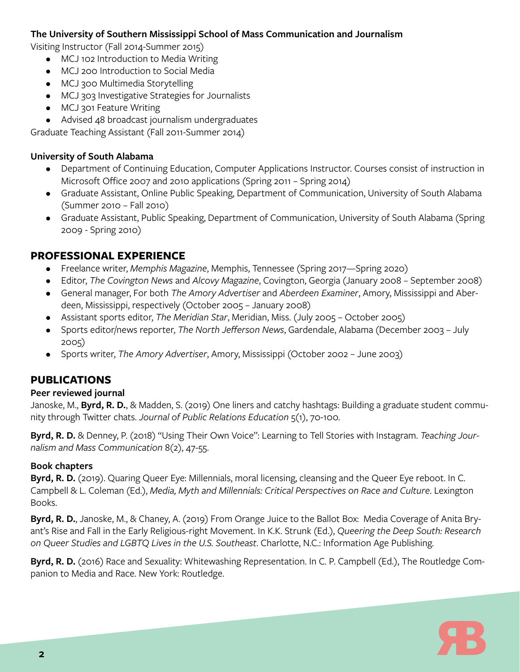### **The University of Southern Mississippi School of Mass Communication and Journalism**

Visiting Instructor (Fall 2014-Summer 2015)

- MCJ 102 Introduction to Media Writing
- MCJ 200 Introduction to Social Media
- MCJ 300 Multimedia Storytelling
- MCJ 303 Investigative Strategies for Journalists
- MCJ 301 Feature Writing
- Advised 48 broadcast journalism undergraduates

Graduate Teaching Assistant (Fall 2011-Summer 2014)

### **University of South Alabama**

- Department of Continuing Education, Computer Applications Instructor. Courses consist of instruction in Microsoft Office 2007 and 2010 applications (Spring 2011 – Spring 2014)
- Graduate Assistant, Online Public Speaking, Department of Communication, University of South Alabama (Summer 2010 – Fall 2010)
- Graduate Assistant, Public Speaking, Department of Communication, University of South Alabama (Spring 2009 - Spring 2010)

## **PROFESSIONAL EXPERIENCE**

- Freelance writer, *Memphis Magazine*, Memphis, Tennessee (Spring 2017—Spring 2020)
- Editor, *The Covington News* and *Alcovy Magazine*, Covington, Georgia (January 2008 September 2008)
- General manager, For both *The Amory Advertiser* and *Aberdeen Examiner*, Amory, Mississippi and Aberdeen, Mississippi, respectively (October 2005 – January 2008)
- Assistant sports editor, *The Meridian Star*, Meridian, Miss. (July 2005 October 2005)
- Sports editor/news reporter, *The North Jefferson News*, Gardendale, Alabama (December 2003 July 2005)
- Sports writer, *The Amory Advertiser*, Amory, Mississippi (October 2002 June 2003)

# **PUBLICATIONS**

### **Peer reviewed journal**

Janoske, M., **Byrd, R. D.**, & Madden, S. (2019) One liners and catchy hashtags: Building a graduate student community through Twitter chats. *Journal of Public Relations Education* 5(1), 70-100.

**Byrd, R. D.** & Denney, P. (2018) "Using Their Own Voice": Learning to Tell Stories with Instagram. *Teaching Journalism and Mass Communication* 8(2), 47-55.

## **Book chapters**

**Byrd, R. D.** (2019). Quaring Queer Eye: Millennials, moral licensing, cleansing and the Queer Eye reboot. In C. Campbell & L. Coleman (Ed.), *Media, Myth and Millennials: Critical Perspectives on Race and Culture*. Lexington Books.

**Byrd, R. D.**, Janoske, M., & Chaney, A. (2019) From Orange Juice to the Ballot Box: Media Coverage of Anita Bryant's Rise and Fall in the Early Religious-right Movement. In K.K. Strunk (Ed.), *Queering the Deep South: Research on Queer Studies and LGBTQ Lives in the U.S. Southeast*. Charlotte, N.C.: Information Age Publishing.

**Byrd, R. D.** (2016) Race and Sexuality: Whitewashing Representation. In C. P. Campbell (Ed.), The Routledge Companion to Media and Race. New York: Routledge.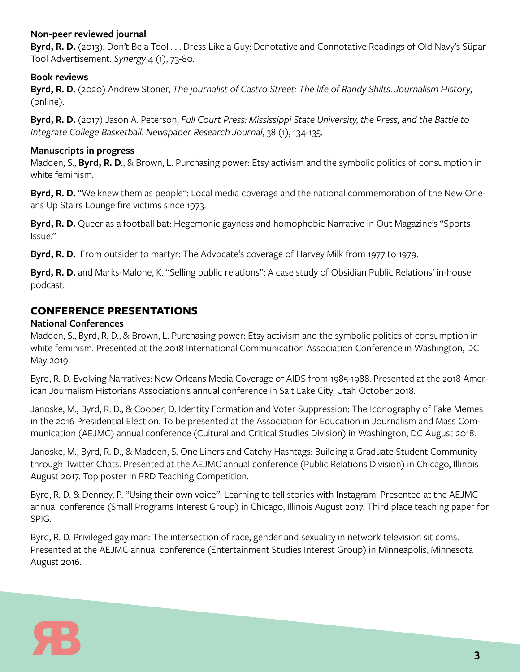### **Non-peer reviewed journal**

**Byrd, R. D.** (2013). Don't Be a Tool . . . Dress Like a Guy: Denotative and Connotative Readings of Old Navy's Süpar Tool Advertisement. *Synergy* 4 (1), 73-80.

### **Book reviews**

**Byrd, R. D.** (2020) Andrew Stoner, *The journalist of Castro Street: The life of Randy Shilts*. *Journalism History*, (online).

**Byrd, R. D.** (2017) Jason A. Peterson, *Full Court Press: Mississippi State University, the Press, and the Battle to Integrate College Basketball*. *Newspaper Research Journal*, 38 (1), 134-135.

### **Manuscripts in progress**

Madden, S., **Byrd, R. D**., & Brown, L. Purchasing power: Etsy activism and the symbolic politics of consumption in white feminism.

**Byrd, R. D.** "We knew them as people": Local media coverage and the national commemoration of the New Orleans Up Stairs Lounge fire victims since 1973.

**Byrd, R. D.** Queer as a football bat: Hegemonic gayness and homophobic Narrative in Out Magazine's "Sports Issue."

**Byrd, R. D.** From outsider to martyr: The Advocate's coverage of Harvey Milk from 1977 to 1979.

**Byrd, R. D.** and Marks-Malone, K. "Selling public relations": A case study of Obsidian Public Relations' in-house podcast.

## **CONFERENCE PRESENTATIONS**

### **National Conferences**

Madden, S., Byrd, R. D., & Brown, L. Purchasing power: Etsy activism and the symbolic politics of consumption in white feminism. Presented at the 2018 International Communication Association Conference in Washington, DC May 2019.

Byrd, R. D. Evolving Narratives: New Orleans Media Coverage of AIDS from 1985-1988. Presented at the 2018 American Journalism Historians Association's annual conference in Salt Lake City, Utah October 2018.

Janoske, M., Byrd, R. D., & Cooper, D. Identity Formation and Voter Suppression: The Iconography of Fake Memes in the 2016 Presidential Election. To be presented at the Association for Education in Journalism and Mass Communication (AEJMC) annual conference (Cultural and Critical Studies Division) in Washington, DC August 2018.

Janoske, M., Byrd, R. D., & Madden, S. One Liners and Catchy Hashtags: Building a Graduate Student Community through Twitter Chats. Presented at the AEJMC annual conference (Public Relations Division) in Chicago, Illinois August 2017. Top poster in PRD Teaching Competition.

Byrd, R. D. & Denney, P. "Using their own voice": Learning to tell stories with Instagram. Presented at the AEJMC annual conference (Small Programs Interest Group) in Chicago, Illinois August 2017. Third place teaching paper for SPIG.

Byrd, R. D. Privileged gay man: The intersection of race, gender and sexuality in network television sit coms. Presented at the AEJMC annual conference (Entertainment Studies Interest Group) in Minneapolis, Minnesota August 2016.

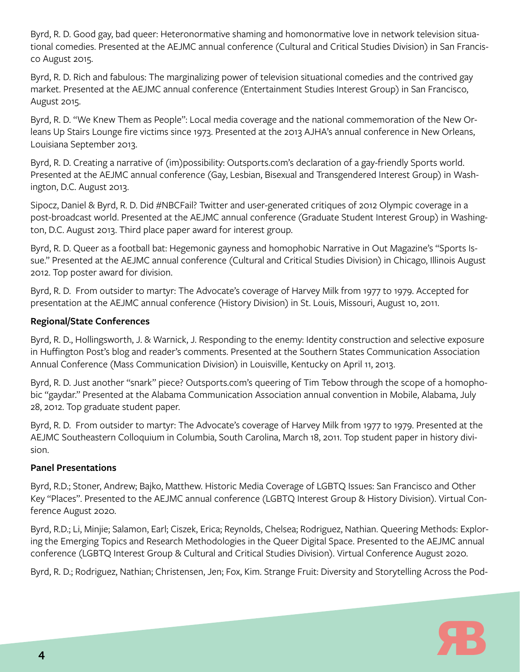Byrd, R. D. Good gay, bad queer: Heteronormative shaming and homonormative love in network television situational comedies. Presented at the AEJMC annual conference (Cultural and Critical Studies Division) in San Francisco August 2015.

Byrd, R. D. Rich and fabulous: The marginalizing power of television situational comedies and the contrived gay market. Presented at the AEJMC annual conference (Entertainment Studies Interest Group) in San Francisco, August 2015.

Byrd, R. D. "We Knew Them as People": Local media coverage and the national commemoration of the New Orleans Up Stairs Lounge fire victims since 1973. Presented at the 2013 AJHA's annual conference in New Orleans, Louisiana September 2013.

Byrd, R. D. Creating a narrative of (im)possibility: Outsports.com's declaration of a gay-friendly Sports world. Presented at the AEJMC annual conference (Gay, Lesbian, Bisexual and Transgendered Interest Group) in Washington, D.C. August 2013.

Sipocz, Daniel & Byrd, R. D. Did #NBCFail? Twitter and user-generated critiques of 2012 Olympic coverage in a post-broadcast world. Presented at the AEJMC annual conference (Graduate Student Interest Group) in Washington, D.C. August 2013. Third place paper award for interest group.

Byrd, R. D. Queer as a football bat: Hegemonic gayness and homophobic Narrative in Out Magazine's "Sports Issue." Presented at the AEJMC annual conference (Cultural and Critical Studies Division) in Chicago, Illinois August 2012. Top poster award for division.

Byrd, R. D. From outsider to martyr: The Advocate's coverage of Harvey Milk from 1977 to 1979. Accepted for presentation at the AEJMC annual conference (History Division) in St. Louis, Missouri, August 10, 2011.

### **Regional/State Conferences**

Byrd, R. D., Hollingsworth, J. & Warnick, J. Responding to the enemy: Identity construction and selective exposure in Huffington Post's blog and reader's comments. Presented at the Southern States Communication Association Annual Conference (Mass Communication Division) in Louisville, Kentucky on April 11, 2013.

Byrd, R. D. Just another "snark" piece? Outsports.com's queering of Tim Tebow through the scope of a homophobic "gaydar." Presented at the Alabama Communication Association annual convention in Mobile, Alabama, July 28, 2012. Top graduate student paper.

Byrd, R. D. From outsider to martyr: The Advocate's coverage of Harvey Milk from 1977 to 1979. Presented at the AEJMC Southeastern Colloquium in Columbia, South Carolina, March 18, 2011. Top student paper in history division.

### **Panel Presentations**

Byrd, R.D.; Stoner, Andrew; Bajko, Matthew. Historic Media Coverage of LGBTQ Issues: San Francisco and Other Key "Places". Presented to the AEJMC annual conference (LGBTQ Interest Group & History Division). Virtual Conference August 2020.

Byrd, R.D.; Li, Minjie; Salamon, Earl; Ciszek, Erica; Reynolds, Chelsea; Rodriguez, Nathian. Queering Methods: Exploring the Emerging Topics and Research Methodologies in the Queer Digital Space. Presented to the AEJMC annual conference (LGBTQ Interest Group & Cultural and Critical Studies Division). Virtual Conference August 2020.

Byrd, R. D.; Rodriguez, Nathian; Christensen, Jen; Fox, Kim. Strange Fruit: Diversity and Storytelling Across the Pod-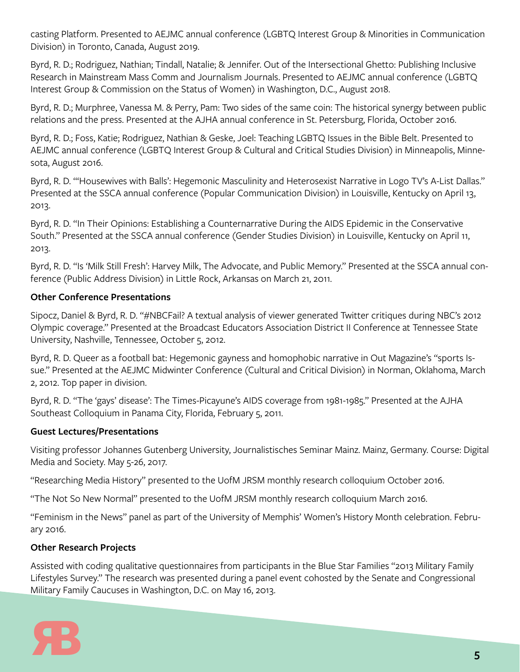casting Platform. Presented to AEJMC annual conference (LGBTQ Interest Group & Minorities in Communication Division) in Toronto, Canada, August 2019.

Byrd, R. D.; Rodriguez, Nathian; Tindall, Natalie; & Jennifer. Out of the Intersectional Ghetto: Publishing Inclusive Research in Mainstream Mass Comm and Journalism Journals. Presented to AEJMC annual conference (LGBTQ Interest Group & Commission on the Status of Women) in Washington, D.C., August 2018.

Byrd, R. D.; Murphree, Vanessa M. & Perry, Pam: Two sides of the same coin: The historical synergy between public relations and the press. Presented at the AJHA annual conference in St. Petersburg, Florida, October 2016.

Byrd, R. D.; Foss, Katie; Rodriguez, Nathian & Geske, Joel: Teaching LGBTQ Issues in the Bible Belt. Presented to AEJMC annual conference (LGBTQ Interest Group & Cultural and Critical Studies Division) in Minneapolis, Minnesota, August 2016.

Byrd, R. D. "'Housewives with Balls': Hegemonic Masculinity and Heterosexist Narrative in Logo TV's A-List Dallas." Presented at the SSCA annual conference (Popular Communication Division) in Louisville, Kentucky on April 13, 2013.

Byrd, R. D. "In Their Opinions: Establishing a Counternarrative During the AIDS Epidemic in the Conservative South." Presented at the SSCA annual conference (Gender Studies Division) in Louisville, Kentucky on April 11, 2013.

Byrd, R. D. "Is 'Milk Still Fresh': Harvey Milk, The Advocate, and Public Memory." Presented at the SSCA annual conference (Public Address Division) in Little Rock, Arkansas on March 21, 2011.

## **Other Conference Presentations**

Sipocz, Daniel & Byrd, R. D. "#NBCFail? A textual analysis of viewer generated Twitter critiques during NBC's 2012 Olympic coverage." Presented at the Broadcast Educators Association District II Conference at Tennessee State University, Nashville, Tennessee, October 5, 2012.

Byrd, R. D. Queer as a football bat: Hegemonic gayness and homophobic narrative in Out Magazine's "sports Issue." Presented at the AEJMC Midwinter Conference (Cultural and Critical Division) in Norman, Oklahoma, March 2, 2012. Top paper in division.

Byrd, R. D. "The 'gays' disease': The Times-Picayune's AIDS coverage from 1981-1985." Presented at the AJHA Southeast Colloquium in Panama City, Florida, February 5, 2011.

### **Guest Lectures/Presentations**

Visiting professor Johannes Gutenberg University, Journalistisches Seminar Mainz. Mainz, Germany. Course: Digital Media and Society. May 5-26, 2017.

"Researching Media History" presented to the UofM JRSM monthly research colloquium October 2016.

"The Not So New Normal" presented to the UofM JRSM monthly research colloquium March 2016.

"Feminism in the News" panel as part of the University of Memphis' Women's History Month celebration. February 2016.

## **Other Research Projects**

Assisted with coding qualitative questionnaires from participants in the Blue Star Families "2013 Military Family Lifestyles Survey." The research was presented during a panel event cohosted by the Senate and Congressional Military Family Caucuses in Washington, D.C. on May 16, 2013.

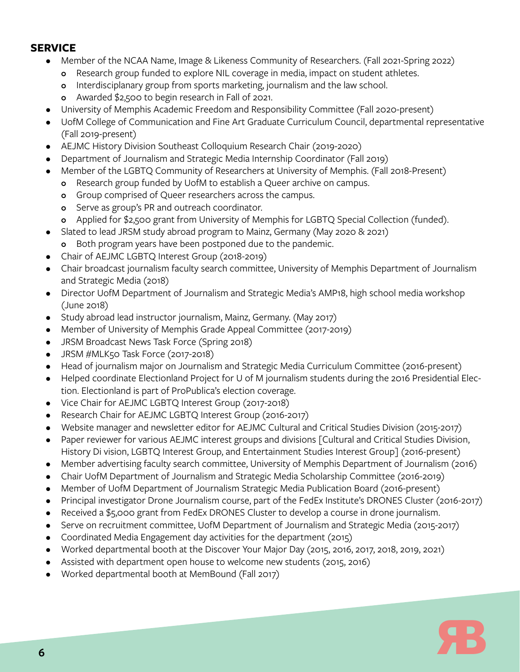## **SERVICE**

- Member of the NCAA Name, Image & Likeness Community of Researchers. (Fall 2021-Spring 2022)
	- o Research group funded to explore NIL coverage in media, impact on student athletes.
	- o Interdisciplanary group from sports marketing, journalism and the law school.
	- o Awarded \$2,500 to begin research in Fall of 2021.
- University of Memphis Academic Freedom and Responsibility Committee (Fall 2020-present)
- UofM College of Communication and Fine Art Graduate Curriculum Council, departmental representative (Fall 2019-present)
- AEJMC History Division Southeast Colloquium Research Chair (2019-2020)
- Department of Journalism and Strategic Media Internship Coordinator (Fall 2019)
- Member of the LGBTQ Community of Researchers at University of Memphis. (Fall 2018-Present)
	- **o** Research group funded by UofM to establish a Queer archive on campus.
	- **o** Group comprised of Queer researchers across the campus.
	- o Serve as group's PR and outreach coordinator.
	- o Applied for \$2,500 grant from University of Memphis for LGBTQ Special Collection (funded).
- Slated to lead JRSM study abroad program to Mainz, Germany (May 2020 & 2021)
	- o Both program years have been postponed due to the pandemic.
- Chair of AEJMC LGBTQ Interest Group (2018-2019)
- Chair broadcast journalism faculty search committee, University of Memphis Department of Journalism and Strategic Media (2018)
- Director UofM Department of Journalism and Strategic Media's AMP18, high school media workshop (June 2018)
- Study abroad lead instructor journalism, Mainz, Germany. (May 2017)
- Member of University of Memphis Grade Appeal Committee (2017-2019)
- JRSM Broadcast News Task Force (Spring 2018)
- JRSM #MLK50 Task Force (2017-2018)
- Head of journalism major on Journalism and Strategic Media Curriculum Committee (2016-present)
- Helped coordinate Electionland Project for U of M journalism students during the 2016 Presidential Election. Electionland is part of ProPublica's election coverage.
- Vice Chair for AEJMC LGBTQ Interest Group (2017-2018)
- Research Chair for AEJMC LGBTQ Interest Group (2016-2017)
- Website manager and newsletter editor for AEJMC Cultural and Critical Studies Division (2015-2017)
- Paper reviewer for various AEJMC interest groups and divisions [Cultural and Critical Studies Division, History Di vision, LGBTQ Interest Group, and Entertainment Studies Interest Group] (2016-present)
- Member advertising faculty search committee, University of Memphis Department of Journalism (2016)
- Chair UofM Department of Journalism and Strategic Media Scholarship Committee (2016-2019)
- Member of UofM Department of Journalism Strategic Media Publication Board (2016-present)
- Principal investigator Drone Journalism course, part of the FedEx Institute's DRONES Cluster (2016-2017)
- Received a \$5,000 grant from FedEx DRONES Cluster to develop a course in drone journalism.
- Serve on recruitment committee, UofM Department of Journalism and Strategic Media (2015-2017)
- Coordinated Media Engagement day activities for the department (2015)
- Worked departmental booth at the Discover Your Major Day (2015, 2016, 2017, 2018, 2019, 2021)
- Assisted with department open house to welcome new students (2015, 2016)
- Worked departmental booth at MemBound (Fall 2017)

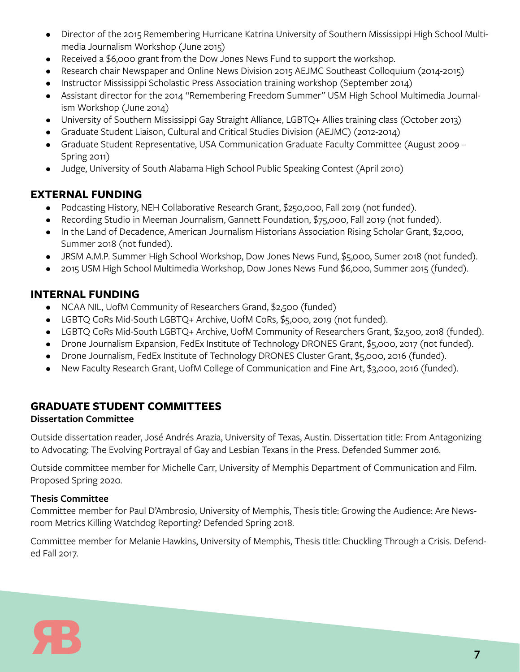- Director of the 2015 Remembering Hurricane Katrina University of Southern Mississippi High School Multimedia Journalism Workshop (June 2015)
- Received a \$6,000 grant from the Dow Jones News Fund to support the workshop.
- Research chair Newspaper and Online News Division 2015 AEJMC Southeast Colloquium (2014-2015)
- Instructor Mississippi Scholastic Press Association training workshop (September 2014)
- Assistant director for the 2014 "Remembering Freedom Summer" USM High School Multimedia Journalism Workshop (June 2014)
- University of Southern Mississippi Gay Straight Alliance, LGBTQ+ Allies training class (October 2013)
- Graduate Student Liaison, Cultural and Critical Studies Division (AEJMC) (2012-2014)
- Graduate Student Representative, USA Communication Graduate Faculty Committee (August 2009 Spring 2011)
- Judge, University of South Alabama High School Public Speaking Contest (April 2010)

# **EXTERNAL FUNDING**

- Podcasting History, NEH Collaborative Research Grant, \$250,000, Fall 2019 (not funded).
- Recording Studio in Meeman Journalism, Gannett Foundation, \$75,000, Fall 2019 (not funded).
- In the Land of Decadence, American Journalism Historians Association Rising Scholar Grant, \$2,000, Summer 2018 (not funded).
- JRSM A.M.P. Summer High School Workshop, Dow Jones News Fund, \$5,000, Sumer 2018 (not funded).
- 2015 USM High School Multimedia Workshop, Dow Jones News Fund \$6,000, Summer 2015 (funded).

## **INTERNAL FUNDING**

- NCAA NIL, UofM Community of Researchers Grand, \$2,500 (funded)
- LGBTQ CoRs Mid-South LGBTQ+ Archive, UofM CoRs, \$5,000, 2019 (not funded).
- LGBTQ CoRs Mid-South LGBTQ+ Archive, UofM Community of Researchers Grant, \$2,500, 2018 (funded).
- Drone Journalism Expansion, FedEx Institute of Technology DRONES Grant, \$5,000, 2017 (not funded).
- Drone Journalism, FedEx Institute of Technology DRONES Cluster Grant, \$5,000, 2016 (funded).
- New Faculty Research Grant, UofM College of Communication and Fine Art, \$3,000, 2016 (funded).

# **GRADUATE STUDENT COMMITTEES**

## **Dissertation Committee**

Outside dissertation reader, José Andrés Arazia, University of Texas, Austin. Dissertation title: From Antagonizing to Advocating: The Evolving Portrayal of Gay and Lesbian Texans in the Press. Defended Summer 2016.

Outside committee member for Michelle Carr, University of Memphis Department of Communication and Film. Proposed Spring 2020.

## **Thesis Committee**

Committee member for Paul D'Ambrosio, University of Memphis, Thesis title: Growing the Audience: Are Newsroom Metrics Killing Watchdog Reporting? Defended Spring 2018.

Committee member for Melanie Hawkins, University of Memphis, Thesis title: Chuckling Through a Crisis. Defended Fall 2017.

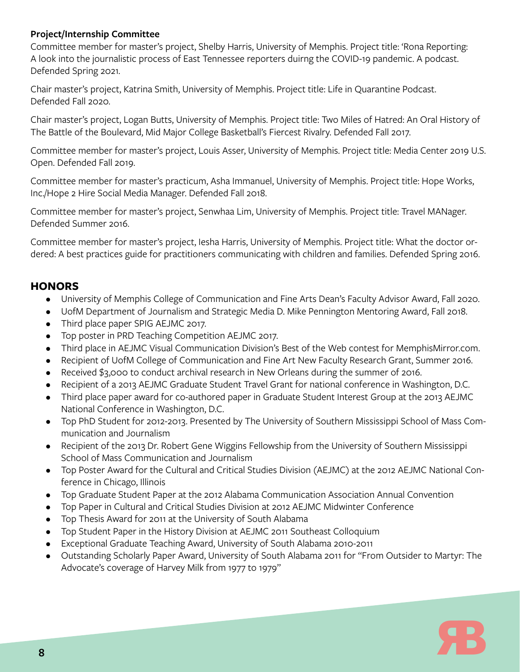### **Project/Internship Committee**

Committee member for master's project, Shelby Harris, University of Memphis. Project title: 'Rona Reporting: A look into the journalistic process of East Tennessee reporters duirng the COVID-19 pandemic. A podcast. Defended Spring 2021.

Chair master's project, Katrina Smith, University of Memphis. Project title: Life in Quarantine Podcast. Defended Fall 2020.

Chair master's project, Logan Butts, University of Memphis. Project title: Two Miles of Hatred: An Oral History of The Battle of the Boulevard, Mid Major College Basketball's Fiercest Rivalry. Defended Fall 2017.

Committee member for master's project, Louis Asser, University of Memphis. Project title: Media Center 2019 U.S. Open. Defended Fall 2019.

Committee member for master's practicum, Asha Immanuel, University of Memphis. Project title: Hope Works, Inc./Hope 2 Hire Social Media Manager. Defended Fall 2018.

Committee member for master's project, Senwhaa Lim, University of Memphis. Project title: Travel MANager. Defended Summer 2016.

Committee member for master's project, Iesha Harris, University of Memphis. Project title: What the doctor ordered: A best practices guide for practitioners communicating with children and families. Defended Spring 2016.

## **HONORS**

- University of Memphis College of Communication and Fine Arts Dean's Faculty Advisor Award, Fall 2020.
- UofM Department of Journalism and Strategic Media D. Mike Pennington Mentoring Award, Fall 2018.
- Third place paper SPIG AEJMC 2017.
- Top poster in PRD Teaching Competition AEJMC 2017.
- Third place in AEJMC Visual Communication Division's Best of the Web contest for MemphisMirror.com.
- Recipient of UofM College of Communication and Fine Art New Faculty Research Grant, Summer 2016.
- Received \$3,000 to conduct archival research in New Orleans during the summer of 2016.
- Recipient of a 2013 AEJMC Graduate Student Travel Grant for national conference in Washington, D.C.
- Third place paper award for co-authored paper in Graduate Student Interest Group at the 2013 AEJMC National Conference in Washington, D.C.
- Top PhD Student for 2012-2013. Presented by The University of Southern Mississippi School of Mass Communication and Journalism
- Recipient of the 2013 Dr. Robert Gene Wiggins Fellowship from the University of Southern Mississippi School of Mass Communication and Journalism
- Top Poster Award for the Cultural and Critical Studies Division (AEJMC) at the 2012 AEJMC National Conference in Chicago, Illinois
- Top Graduate Student Paper at the 2012 Alabama Communication Association Annual Convention
- Top Paper in Cultural and Critical Studies Division at 2012 AEJMC Midwinter Conference
- Top Thesis Award for 2011 at the University of South Alabama
- Top Student Paper in the History Division at AEJMC 2011 Southeast Colloquium
- Exceptional Graduate Teaching Award, University of South Alabama 2010-2011
- Outstanding Scholarly Paper Award, University of South Alabama 2011 for "From Outsider to Martyr: The Advocate's coverage of Harvey Milk from 1977 to 1979"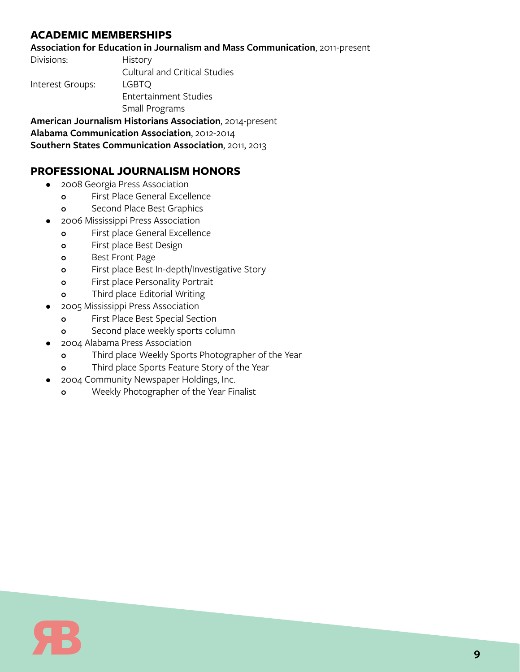# **ACADEMIC MEMBERSHIPS**

#### **Association for Education in Journalism and Mass Communication**, 2011-present

Divisions: History

Cultural and Critical Studies

Interest Groups: LGBTQ

Entertainment Studies

Small Programs

**American Journalism Historians Association**, 2014-present

**Alabama Communication Association**, 2012-2014

**Southern States Communication Association**, 2011, 2013

## **PROFESSIONAL JOURNALISM HONORS**

- 2008 Georgia Press Association
	- **o** First Place General Excellence
	- **o** Second Place Best Graphics
	- 2006 Mississippi Press Association
		- **o** First place General Excellence
		- **o** First place Best Design
		- **o** Best Front Page
		- **o** First place Best In-depth/Investigative Story
		- **o** First place Personality Portrait
		- **o** Third place Editorial Writing
- 2005 Mississippi Press Association
	- **o** First Place Best Special Section
	- **o** Second place weekly sports column
- 2004 Alabama Press Association
	- **o** Third place Weekly Sports Photographer of the Year
	- **o** Third place Sports Feature Story of the Year
- 2004 Community Newspaper Holdings, Inc.
	- **o** Weekly Photographer of the Year Finalist